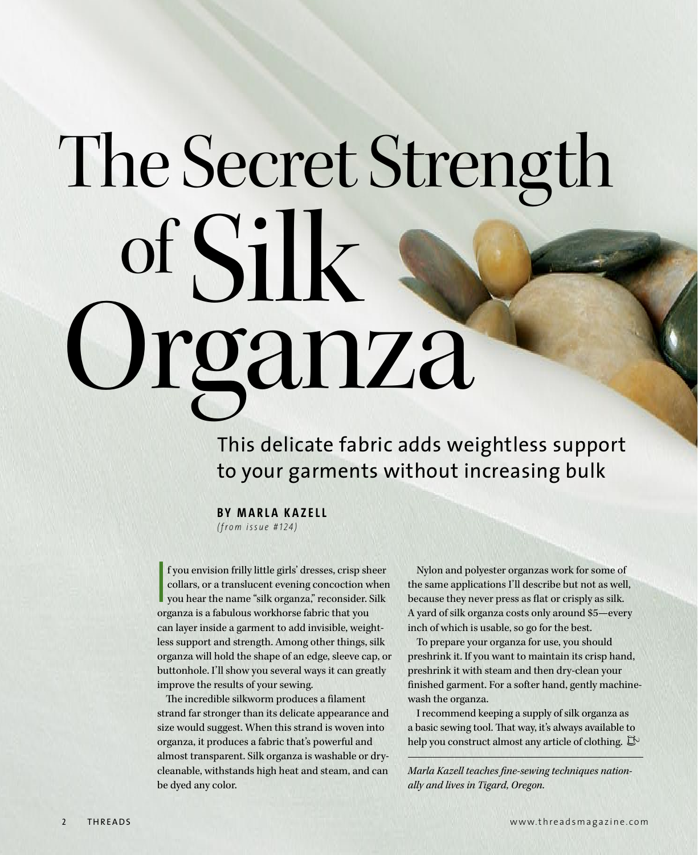# The Secret Strength of Silk Organza

This delicate fabric adds weightless support to your garments without increasing bulk

**BY MARLA KAZELL** 

*( f r o m i s s u e # 1 2 4 )*

f you envision frilly little girls' dresses, crisp sh<br>collars, or a translucent evening concoction w<br>you hear the name "silk organza", reconsider. S<br>organza is a fabulous workhorse fabric that you f you envision frilly little girls' dresses, crisp sheer collars, or a translucent evening concoction when you hear the name "silk organza," reconsider. Silk can layer inside a garment to add invisible, weightless support and strength. Among other things, silk organza will hold the shape of an edge, sleeve cap, or buttonhole. I'll show you several ways it can greatly improve the results of your sewing.

The incredible silkworm produces a filament strand far stronger than its delicate appearance and size would suggest. When this strand is woven into organza, it produces a fabric that's powerful and almost transparent. Silk organza is washable or drycleanable, withstands high heat and steam, and can be dyed any color.

Nylon and polyester organzas work for some of the same applications I'll describe but not as well, because they never press as flat or crisply as silk. A yard of silk organza costs only around \$5—every inch of which is usable, so go for the best.

To prepare your organza for use, you should preshrink it. If you want to maintain its crisp hand, preshrink it with steam and then dry-clean your finished garment. For a softer hand, gently machinewash the organza.

I recommend keeping a supply of silk organza as a basic sewing tool. That way, it's always available to help you construct almost any article of clothing.  $\mathbb{E}^{\mathbb{V}}$ 

*Marla Kazell teaches fine-sewing techniques nationally and lives in Tigard, Oregon.*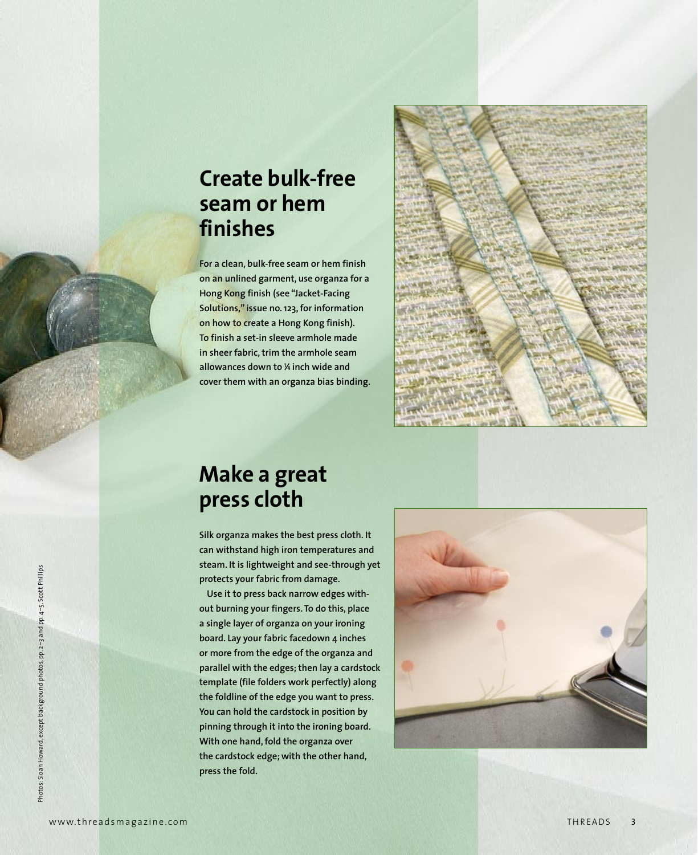#### **Create bulk-free seam or hem finishes**

**For a clean, bulk-free seam or hem finish on an unlined garment, use organza for a Hong Kong finish (see "Jacket-Facing Solutions," issue no. 123, for information on how to create a Hong Kong finish). To finish a set-in sleeve armhole made in sheer fabric, trim the armhole seam allowances down to 1⁄4 inch wide and cover them with an organza bias binding.**



#### **Make a great press cloth**

**Silk organza makes the best press cloth. It can withstand high iron temperatures and steam. It is lightweight and see-through yet protects your fabric from damage.** 

**Use it to press back narrow edges without burning your fingers. To do this, place a single layer of organza on your ironing board. Lay your fabric facedown 4 inches or more from the edge of the organza and parallel with the edges; then lay a cardstock template (file folders work perfectly) along the foldline of the edge you want to press. You can hold the cardstock in position by pinning through it into the ironing board. With one hand, fold the organza over the cardstock edge; with the other hand, press the fold.**

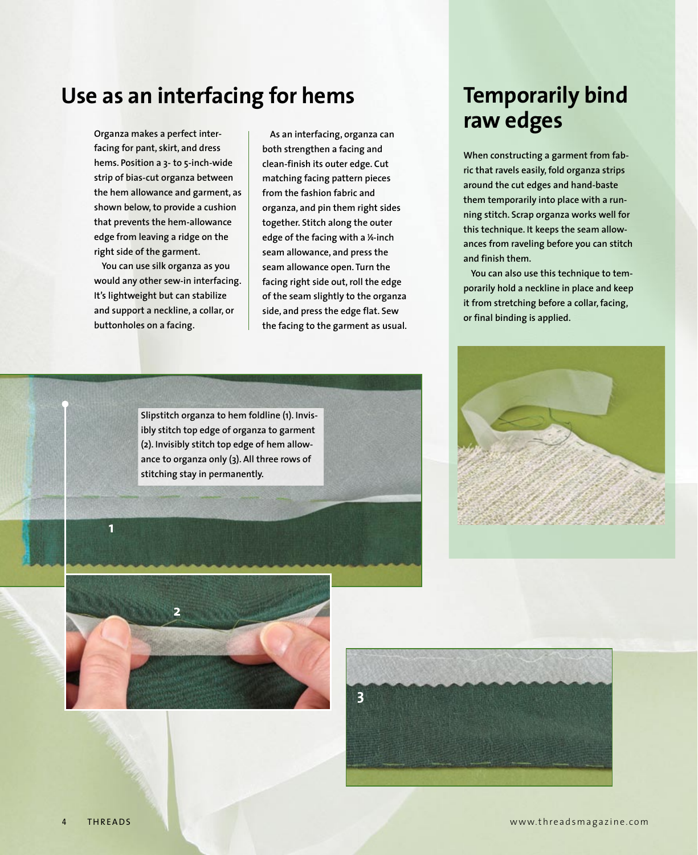#### **Use as an interfacing for hems Temporarily bind**

**Organza makes a perfect interfacing for pant, skirt, and dress hems. Position a 3- to 5-inch-wide strip of bias-cut organza between the hem allowance and garment, as shown below, to provide a cushion that prevents the hem-allowance edge from leaving a ridge on the right side of the garment.** 

**You can use silk organza as you would any other sew-in interfacing. It's lightweight but can stabilize and support a neckline, a collar, or buttonholes on a facing.** 

**As an interfacing, organza can both strengthen a facing and clean-finish its outer edge. Cut matching facing pattern pieces from the fashion fabric and organza, and pin them right sides together. Stitch along the outer edge of the facing with a <sup>1</sup> ⁄4-inch seam allowance, and press the seam allowance open. Turn the facing right side out, roll the edge of the seam slightly to the organza side, and press the edge flat. Sew the facing to the garment as usual.** 

#### **Slipstitch organza to hem foldline (1). Invisibly stitch top edge of organza to garment (2). Invisibly stitch top edge of hem allowance to organza only (3). All three rows of stitching stay in permanently.**

## **raw edges**

**When constructing a garment from fabric that ravels easily, fold organza strips around the cut edges and hand-baste them temporarily into place with a running stitch. Scrap organza works well for this technique. It keeps the seam allowances from raveling before you can stitch and finish them.** 

**You can also use this technique to temporarily hold a neckline in place and keep it from stretching before a collar, facing, or final binding is applied.** 







**1**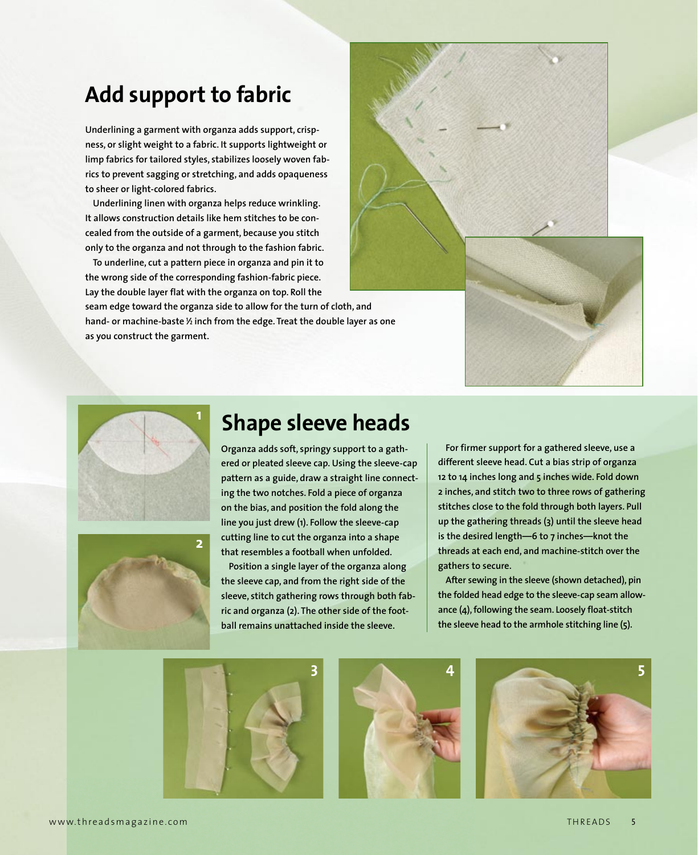#### **Add support to fabric**

**Underlining a garment with organza adds support, crispness, or slight weight to a fabric. It supports lightweight or limp fabrics for tailored styles, stabilizes loosely woven fabrics to prevent sagging or stretching, and adds opaqueness to sheer or light-colored fabrics.** 

**Underlining linen with organza helps reduce wrinkling. It allows construction details like hem stitches to be concealed from the outside of a garment, because you stitch only to the organza and not through to the fashion fabric.** 

**To underline, cut a pattern piece in organza and pin it to the wrong side of the corresponding fashion-fabric piece. Lay the double layer flat with the organza on top. Roll the** 

**seam edge toward the organza side to allow for the turn of cloth, and hand- or machine-baste <sup>1</sup> ⁄2 inch from the edge. Treat the double layer as one as you construct the garment.**







#### **Shape sleeve heads**

**Organza adds soft, springy support to a gathered or pleated sleeve cap. Using the sleeve-cap pattern as a guide, draw a straight line connecting the two notches. Fold a piece of organza on the bias, and position the fold along the line you just drew (1). Follow the sleeve-cap cutting line to cut the organza into a shape that resembles a football when unfolded.** 

**Position a single layer of the organza along the sleeve cap, and from the right side of the sleeve, stitch gathering rows through both fabric and organza (2). The other side of the football remains unattached inside the sleeve.**

**For firmer support for a gathered sleeve, use a different sleeve head. Cut a bias strip of organza 12 to 14 inches long and 5 inches wide. Fold down 2 inches, and stitch two to three rows of gathering stitches close to the fold through both layers. Pull up the gathering threads (3) until the sleeve head is the desired length—6 to 7 inches—knot the threads at each end, and machine-stitch over the gathers to secure.** 

**After sewing in the sleeve (shown detached), pin the folded head edge to the sleeve-cap seam allowance (4), following the seam. Loosely float-stitch the sleeve head to the armhole stitching line (5).** 

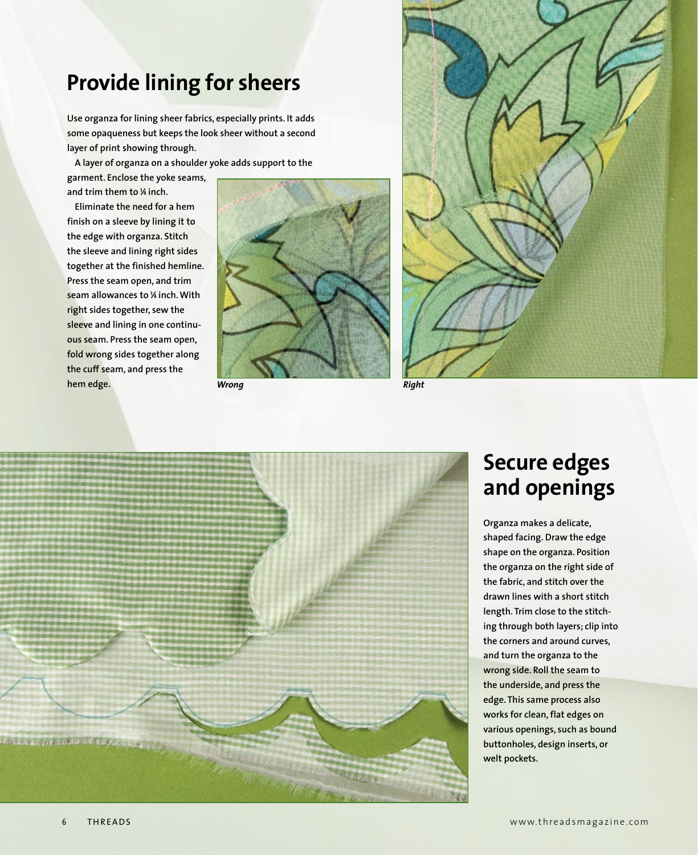#### **Provide lining for sheers**

**Use organza for lining sheer fabrics, especially prints. It adds some opaqueness but keeps the look sheer without a second layer of print showing through.** 

**A layer of organza on a shoulder yoke adds support to the garment. Enclose the yoke seams, and trim them to <sup>1</sup> ⁄4 inch.** 

**Eliminate the need for a hem finish on a sleeve by lining it to the edge with organza. Stitch the sleeve and lining right sides together at the finished hemline. Press the seam open, and trim seam allowances to <sup>1</sup> ⁄4 inch. With right sides together, sew the sleeve and lining in one continuous seam. Press the seam open, fold wrong sides together along the cuff seam, and press the hem edge.** *Wrong Right* 







#### **Secure edges and openings**

**Organza makes a delicate, shaped facing. Draw the edge shape on the organza. Position the organza on the right side of the fabric, and stitch over the drawn lines with a short stitch length. Trim close to the stitching through both layers; clip into the corners and around curves, and turn the organza to the wrong side. Roll the seam to the underside, and press the edge. This same process also works for clean, flat edges on various openings, such as bound buttonholes, design inserts, or welt pockets.**